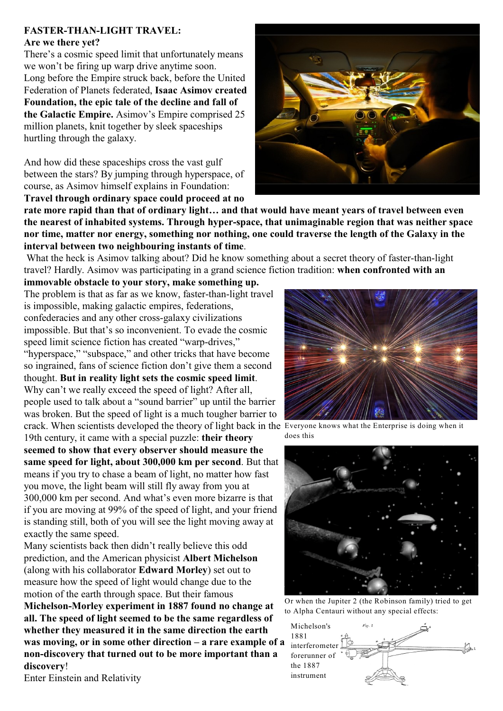## **FASTER-THAN-LIGHT TRAVEL:**

## **Are we there yet?**

There's a cosmic speed limit that unfortunately means we won't be firing up warp drive anytime soon. Long before the Empire struck back, before the United Federation of Planets federated, **Isaac Asimov created Foundation, the epic tale of the decline and fall of the Galactic Empire.** Asimov's Empire comprised 25 million planets, knit together by sleek spaceships hurtling through the galaxy.

And how did these spaceships cross the vast gulf between the stars? By jumping through hyperspace, of course, as Asimov himself explains in Foundation: **Travel through ordinary space could proceed at no**



**rate more rapid than that of ordinary light… and that would have meant years of travel between even the nearest of inhabited systems. Through hyper-space, that unimaginable region that was neither space nor time, matter nor energy, something nor nothing, one could traverse the length of the Galaxy in the interval between two neighbouring instants of time**.

 What the heck is Asimov talking about? Did he know something about a secret theory of faster-than-light travel? Hardly. Asimov was participating in a grand science fiction tradition: **when confronted with an**

**immovable obstacle to your story, make something up.** The problem is that as far as we know, faster-than-light travel is impossible, making galactic empires, federations, confederacies and any other cross-galaxy civilizations impossible. But that's so inconvenient. To evade the cosmic speed limit science fiction has created "warp-drives," "hyperspace," "subspace," and other tricks that have become so ingrained, fans of science fiction don't give them a second thought. **But in reality light sets the cosmic speed limit**. Why can't we really exceed the speed of light? After all, people used to talk about a "sound barrier" up until the barrier was broken. But the speed of light is a much tougher barrier to crack. When scientists developed the theory of light back in the Everyone knows what the Enterprise is doing when it

19th century, it came with a special puzzle: **their theory seemed to show that every observer should measure the same speed for light, about 300,000 km per second**. But that means if you try to chase a beam of light, no matter how fast you move, the light beam will still fly away from you at 300,000 km per second. And what's even more bizarre is that if you are moving at 99% of the speed of light, and your friend is standing still, both of you will see the light moving away at exactly the same speed.

Many scientists back then didn't really believe this odd prediction, and the American physicist **Albert Michelson** (along with his collaborator **Edward Morley**) set out to measure how the speed of light would change due to the motion of the earth through space. But their famous

**Michelson-Morley experiment in 1887 found no change at all. The speed of light seemed to be the same regardless of whether they measured it in the same direction the earth was moving, or in some other direction – a rare example of a non-discovery that turned out to be more important than a discovery**!

Enter Einstein and Relativity



does this



Or when the Jupiter 2 (the Robinson family) tried to get to Alpha Centauri without any special effects: